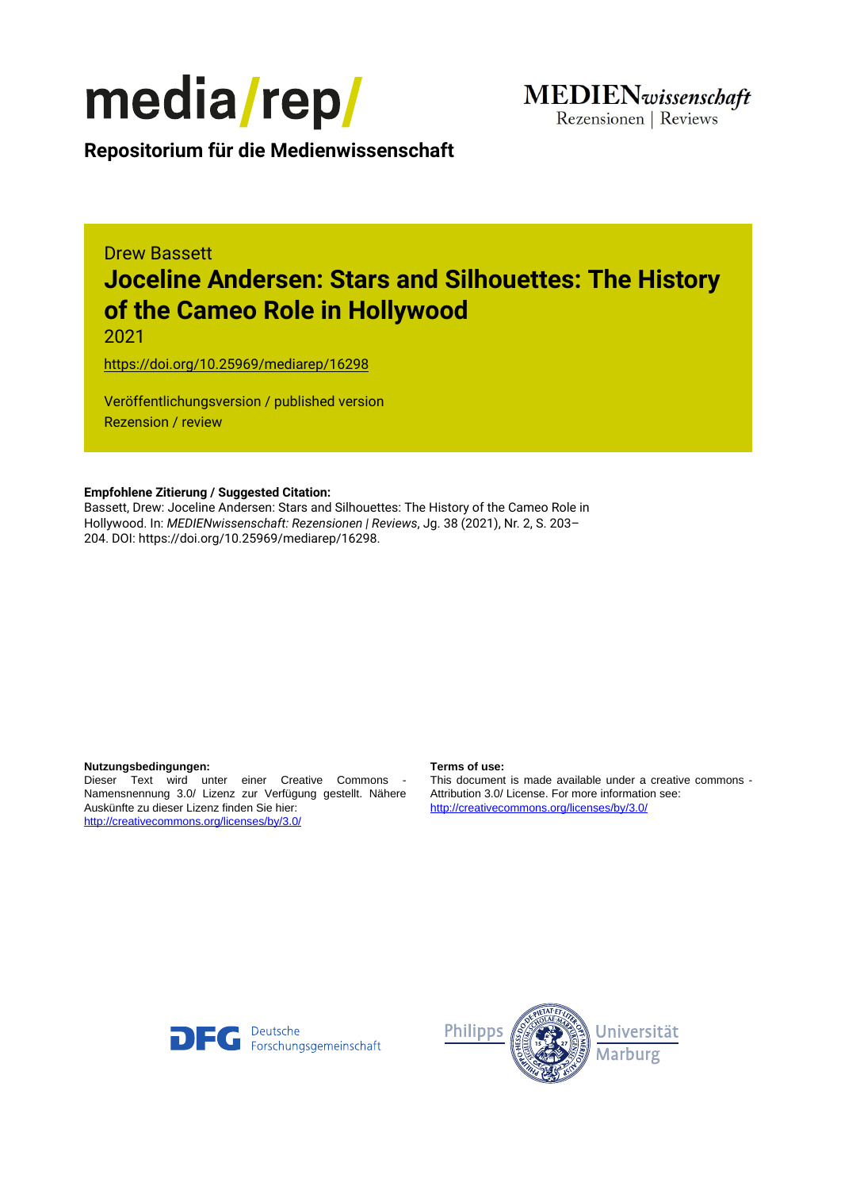

Rezensionen | Reviews

**Repositorium für die [Medienwissenschaft](https://mediarep.org)**

# Drew Bassett **Joceline Andersen: Stars and Silhouettes: The History of the Cameo Role in Hollywood**

2021

<https://doi.org/10.25969/mediarep/16298>

Veröffentlichungsversion / published version Rezension / review

### **Empfohlene Zitierung / Suggested Citation:**

Bassett, Drew: Joceline Andersen: Stars and Silhouettes: The History of the Cameo Role in Hollywood. In: *MEDIENwissenschaft: Rezensionen | Reviews*, Jg. 38 (2021), Nr. 2, S. 203– 204. DOI: https://doi.org/10.25969/mediarep/16298.

### **Nutzungsbedingungen: Terms of use:**

Dieser Text wird unter einer Creative Commons - Namensnennung 3.0/ Lizenz zur Verfügung gestellt. Nähere Auskünfte zu dieser Lizenz finden Sie hier: <http://creativecommons.org/licenses/by/3.0/>

This document is made available under a creative commons - Attribution 3.0/ License. For more information see: <http://creativecommons.org/licenses/by/3.0/>



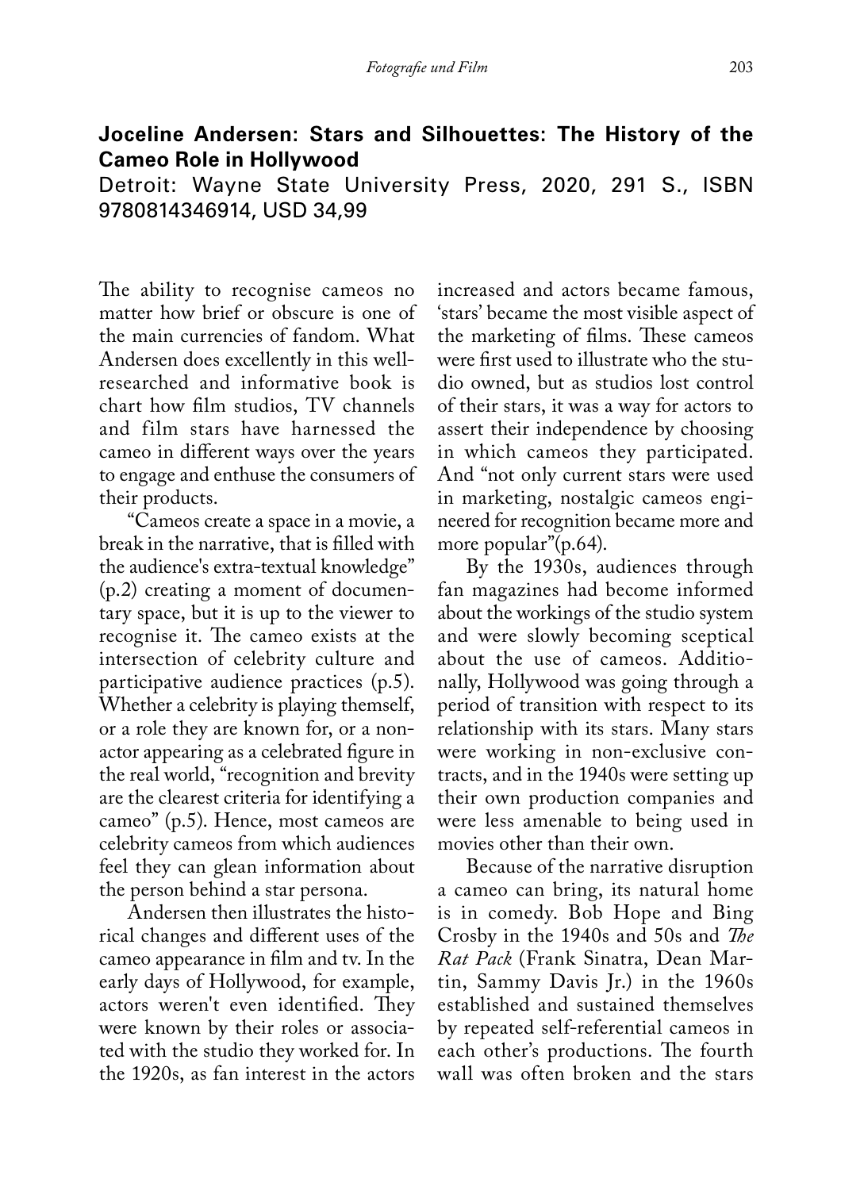## **Joceline Andersen: Stars and Silhouettes: The History of the Cameo Role in Hollywood**

Detroit: Wayne State University Press, 2020, 291 S., ISBN 9780814346914, USD 34,99

The ability to recognise cameos no matter how brief or obscure is one of the main currencies of fandom. What Andersen does excellently in this wellresearched and informative book is chart how film studios,  $TV$  channels and film stars have harnessed the cameo in different ways over the years to engage and enthuse the consumers of their products.

"Cameos create a space in a movie, a break in the narrative, that is filled with the audience's extra-textual knowledge" (p.2) creating a moment of documentary space, but it is up to the viewer to recognise it. The cameo exists at the intersection of celebrity culture and participative audience practices (p.5). Whether a celebrity is playing themself, or a role they are known for, or a nonactor appearing as a celebrated figure in the real world, "recognition and brevity are the clearest criteria for identifying a cameo" (p.5). Hence, most cameos are celebrity cameos from which audiences feel they can glean information about the person behind a star persona.

Andersen then illustrates the historical changes and different uses of the cameo appearance in film and tv. In the early days of Hollywood, for example, actors weren't even identified. They were known by their roles or associated with the studio they worked for. In the 1920s, as fan interest in the actors

increased and actors became famous, 'stars' became the most visible aspect of the marketing of films. These cameos were first used to illustrate who the studio owned, but as studios lost control of their stars, it was a way for actors to assert their independence by choosing in which cameos they participated. And "not only current stars were used in marketing, nostalgic cameos engineered for recognition became more and more popular"(p.64).

By the 1930s, audiences through fan magazines had become informed about the workings of the studio system and were slowly becoming sceptical about the use of cameos. Additionally, Hollywood was going through a period of transition with respect to its relationship with its stars. Many stars were working in non-exclusive contracts, and in the 1940s were setting up their own production companies and were less amenable to being used in movies other than their own.

Because of the narrative disruption a cameo can bring, its natural home is in comedy. Bob Hope and Bing Crosby in the 1940s and 50s and *The Rat Pack* (Frank Sinatra, Dean Martin, Sammy Davis Jr.) in the 1960s established and sustained themselves by repeated self-referential cameos in each other's productions. The fourth wall was often broken and the stars